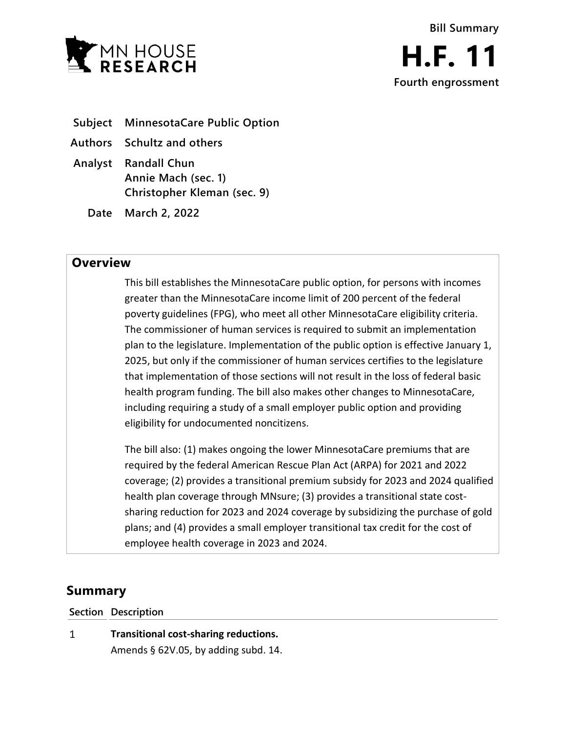

- **Subject MinnesotaCare Public Option**
- **Authors Schultz and others**
- **Analyst Randall Chun Annie Mach (sec. 1) Christopher Kleman (sec. 9)**
	- **Date March 2, 2022**

## **Overview**

This bill establishes the MinnesotaCare public option, for persons with incomes greater than the MinnesotaCare income limit of 200 percent of the federal poverty guidelines (FPG), who meet all other MinnesotaCare eligibility criteria. The commissioner of human services is required to submit an implementation plan to the legislature. Implementation of the public option is effective January 1, 2025, but only if the commissioner of human services certifies to the legislature that implementation of those sections will not result in the loss of federal basic health program funding. The bill also makes other changes to MinnesotaCare, including requiring a study of a small employer public option and providing eligibility for undocumented noncitizens.

The bill also: (1) makes ongoing the lower MinnesotaCare premiums that are required by the federal American Rescue Plan Act (ARPA) for 2021 and 2022 coverage; (2) provides a transitional premium subsidy for 2023 and 2024 qualified health plan coverage through MNsure; (3) provides a transitional state costsharing reduction for 2023 and 2024 coverage by subsidizing the purchase of gold plans; and (4) provides a small employer transitional tax credit for the cost of employee health coverage in 2023 and 2024.

# **Summary**

**Section Description**

 $\mathbf{1}$ **Transitional cost-sharing reductions.** Amends § 62V.05, by adding subd. 14.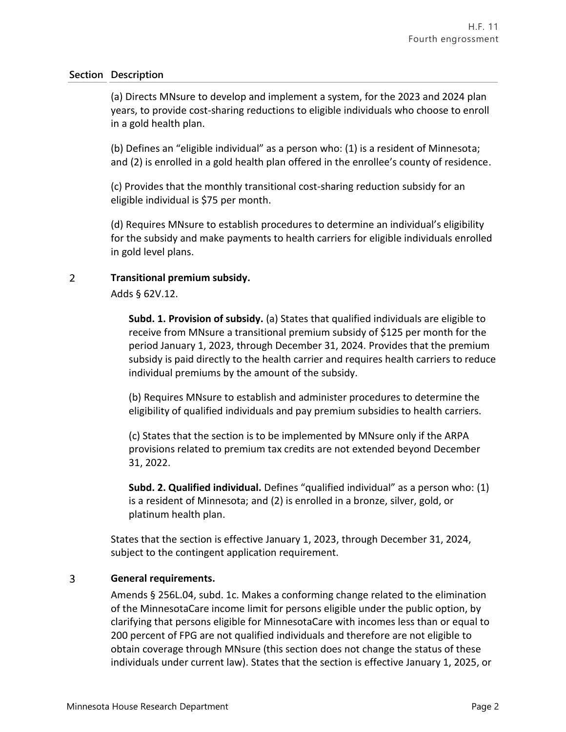(a) Directs MNsure to develop and implement a system, for the 2023 and 2024 plan years, to provide cost-sharing reductions to eligible individuals who choose to enroll in a gold health plan.

(b) Defines an "eligible individual" as a person who: (1) is a resident of Minnesota; and (2) is enrolled in a gold health plan offered in the enrollee's county of residence.

(c) Provides that the monthly transitional cost-sharing reduction subsidy for an eligible individual is \$75 per month.

(d) Requires MNsure to establish procedures to determine an individual's eligibility for the subsidy and make payments to health carriers for eligible individuals enrolled in gold level plans.

#### $\overline{2}$ **Transitional premium subsidy.**

Adds § 62V.12.

**Subd. 1. Provision of subsidy.** (a) States that qualified individuals are eligible to receive from MNsure a transitional premium subsidy of \$125 per month for the period January 1, 2023, through December 31, 2024. Provides that the premium subsidy is paid directly to the health carrier and requires health carriers to reduce individual premiums by the amount of the subsidy.

(b) Requires MNsure to establish and administer procedures to determine the eligibility of qualified individuals and pay premium subsidies to health carriers.

(c) States that the section is to be implemented by MNsure only if the ARPA provisions related to premium tax credits are not extended beyond December 31, 2022.

**Subd. 2. Qualified individual.** Defines "qualified individual" as a person who: (1) is a resident of Minnesota; and (2) is enrolled in a bronze, silver, gold, or platinum health plan.

States that the section is effective January 1, 2023, through December 31, 2024, subject to the contingent application requirement.

#### 3 **General requirements.**

Amends § 256L.04, subd. 1c. Makes a conforming change related to the elimination of the MinnesotaCare income limit for persons eligible under the public option, by clarifying that persons eligible for MinnesotaCare with incomes less than or equal to 200 percent of FPG are not qualified individuals and therefore are not eligible to obtain coverage through MNsure (this section does not change the status of these individuals under current law). States that the section is effective January 1, 2025, or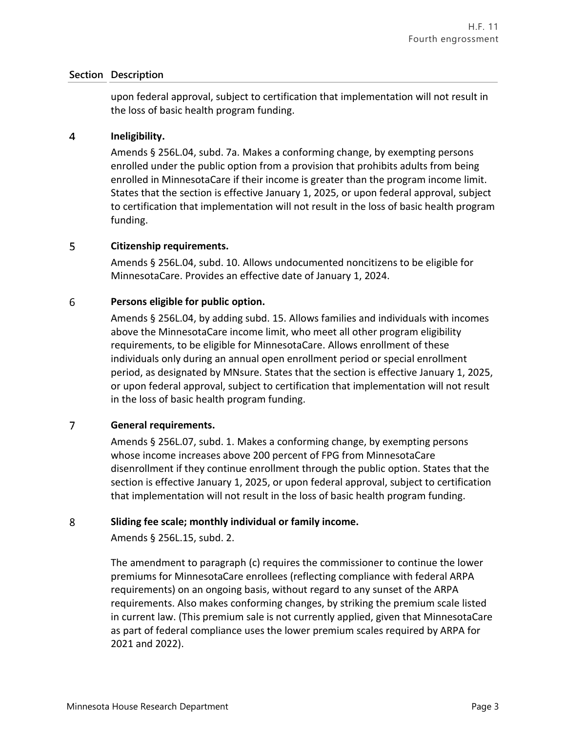upon federal approval, subject to certification that implementation will not result in the loss of basic health program funding.

#### $\overline{4}$ **Ineligibility.**

Amends § 256L.04, subd. 7a. Makes a conforming change, by exempting persons enrolled under the public option from a provision that prohibits adults from being enrolled in MinnesotaCare if their income is greater than the program income limit. States that the section is effective January 1, 2025, or upon federal approval, subject to certification that implementation will not result in the loss of basic health program funding.

#### 5 **Citizenship requirements.**

Amends § 256L.04, subd. 10. Allows undocumented noncitizens to be eligible for MinnesotaCare. Provides an effective date of January 1, 2024.

#### 6 **Persons eligible for public option.**

Amends § 256L.04, by adding subd. 15. Allows families and individuals with incomes above the MinnesotaCare income limit, who meet all other program eligibility requirements, to be eligible for MinnesotaCare. Allows enrollment of these individuals only during an annual open enrollment period or special enrollment period, as designated by MNsure. States that the section is effective January 1, 2025, or upon federal approval, subject to certification that implementation will not result in the loss of basic health program funding.

#### $\overline{7}$ **General requirements.**

Amends § 256L.07, subd. 1. Makes a conforming change, by exempting persons whose income increases above 200 percent of FPG from MinnesotaCare disenrollment if they continue enrollment through the public option. States that the section is effective January 1, 2025, or upon federal approval, subject to certification that implementation will not result in the loss of basic health program funding.

#### 8 **Sliding fee scale; monthly individual or family income.**

Amends § 256L.15, subd. 2.

The amendment to paragraph (c) requires the commissioner to continue the lower premiums for MinnesotaCare enrollees (reflecting compliance with federal ARPA requirements) on an ongoing basis, without regard to any sunset of the ARPA requirements. Also makes conforming changes, by striking the premium scale listed in current law. (This premium sale is not currently applied, given that MinnesotaCare as part of federal compliance uses the lower premium scales required by ARPA for 2021 and 2022).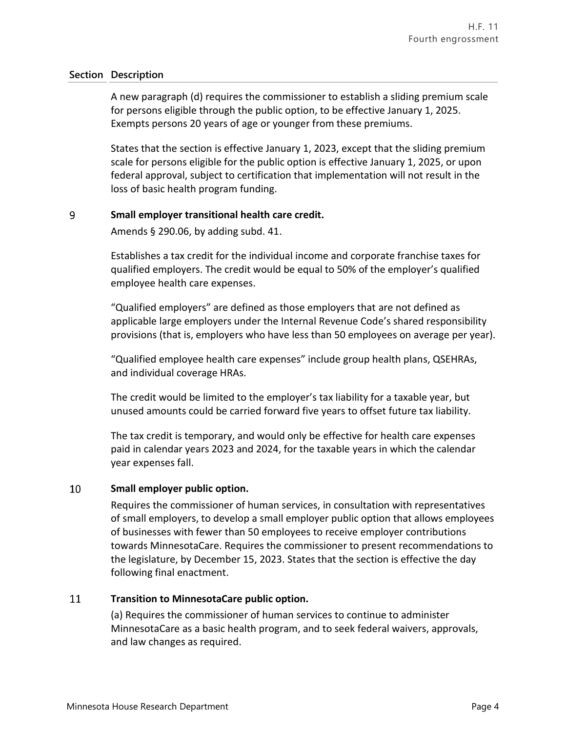A new paragraph (d) requires the commissioner to establish a sliding premium scale for persons eligible through the public option, to be effective January 1, 2025. Exempts persons 20 years of age or younger from these premiums.

States that the section is effective January 1, 2023, except that the sliding premium scale for persons eligible for the public option is effective January 1, 2025, or upon federal approval, subject to certification that implementation will not result in the loss of basic health program funding.

#### 9 **Small employer transitional health care credit.**

Amends § 290.06, by adding subd. 41.

Establishes a tax credit for the individual income and corporate franchise taxes for qualified employers. The credit would be equal to 50% of the employer's qualified employee health care expenses.

"Qualified employers" are defined as those employers that are not defined as applicable large employers under the Internal Revenue Code's shared responsibility provisions (that is, employers who have less than 50 employees on average per year).

"Qualified employee health care expenses" include group health plans, QSEHRAs, and individual coverage HRAs.

The credit would be limited to the employer's tax liability for a taxable year, but unused amounts could be carried forward five years to offset future tax liability.

The tax credit is temporary, and would only be effective for health care expenses paid in calendar years 2023 and 2024, for the taxable years in which the calendar year expenses fall.

#### 10 **Small employer public option.**

Requires the commissioner of human services, in consultation with representatives of small employers, to develop a small employer public option that allows employees of businesses with fewer than 50 employees to receive employer contributions towards MinnesotaCare. Requires the commissioner to present recommendations to the legislature, by December 15, 2023. States that the section is effective the day following final enactment.

#### 11 **Transition to MinnesotaCare public option.**

(a) Requires the commissioner of human services to continue to administer MinnesotaCare as a basic health program, and to seek federal waivers, approvals, and law changes as required.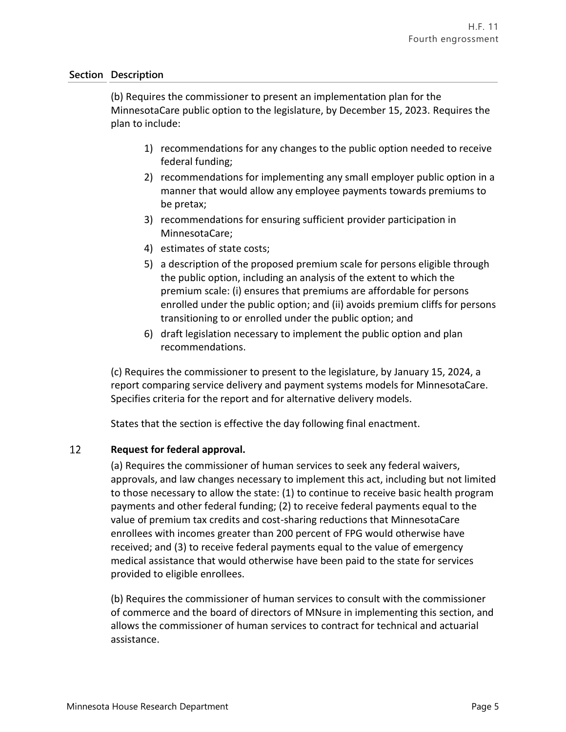(b) Requires the commissioner to present an implementation plan for the MinnesotaCare public option to the legislature, by December 15, 2023. Requires the plan to include:

- 1) recommendations for any changes to the public option needed to receive federal funding;
- 2) recommendations for implementing any small employer public option in a manner that would allow any employee payments towards premiums to be pretax;
- 3) recommendations for ensuring sufficient provider participation in MinnesotaCare;
- 4) estimates of state costs;
- 5) a description of the proposed premium scale for persons eligible through the public option, including an analysis of the extent to which the premium scale: (i) ensures that premiums are affordable for persons enrolled under the public option; and (ii) avoids premium cliffs for persons transitioning to or enrolled under the public option; and
- 6) draft legislation necessary to implement the public option and plan recommendations.

(c) Requires the commissioner to present to the legislature, by January 15, 2024, a report comparing service delivery and payment systems models for MinnesotaCare. Specifies criteria for the report and for alternative delivery models.

States that the section is effective the day following final enactment.

#### 12 **Request for federal approval.**

(a) Requires the commissioner of human services to seek any federal waivers, approvals, and law changes necessary to implement this act, including but not limited to those necessary to allow the state: (1) to continue to receive basic health program payments and other federal funding; (2) to receive federal payments equal to the value of premium tax credits and cost-sharing reductions that MinnesotaCare enrollees with incomes greater than 200 percent of FPG would otherwise have received; and (3) to receive federal payments equal to the value of emergency medical assistance that would otherwise have been paid to the state for services provided to eligible enrollees.

(b) Requires the commissioner of human services to consult with the commissioner of commerce and the board of directors of MNsure in implementing this section, and allows the commissioner of human services to contract for technical and actuarial assistance.